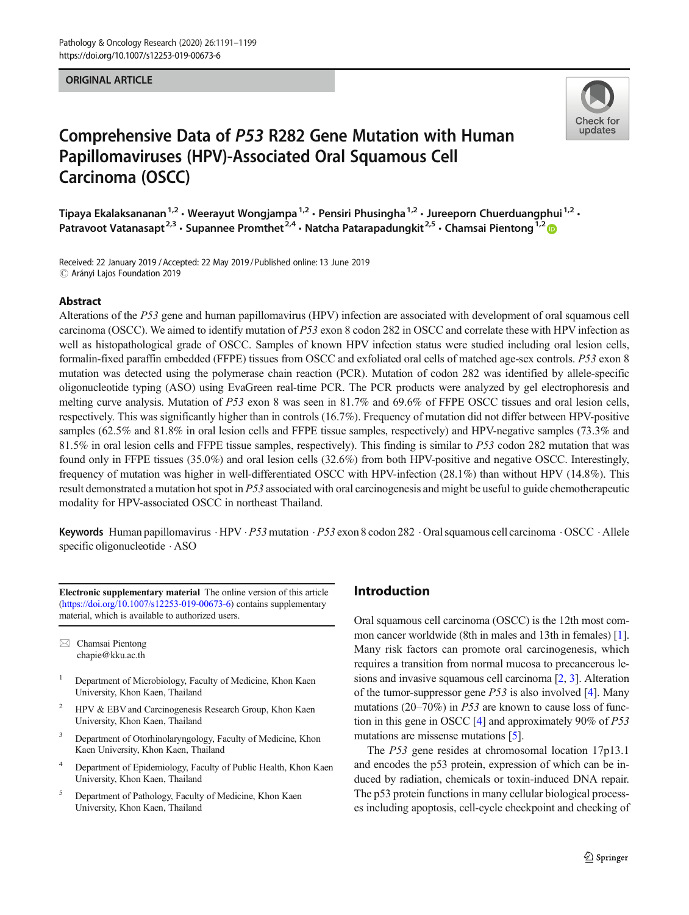#### ORIGINAL ARTICLE



# Comprehensive Data of P53 R282 Gene Mutation with Human Papillomaviruses (HPV)-Associated Oral Squamous Cell Carcinoma (OSCC)

Tipaya Ekalaksananan<sup>1,2</sup> · Weerayut Wongjampa<sup>1,2</sup> · Pensiri Phusingha<sup>1,2</sup> · Jureeporn Chuerduangphui<sup>1,2</sup> · Patravoot Vatanasapt<sup>2,3</sup> · Supannee Promthet<sup>2,4</sup> · Natcha Patarapadungkit<sup>2,5</sup> · Chamsai Pientong<sup>1,2</sup>

Received: 22 January 2019 /Accepted: 22 May 2019 /Published online: 13 June 2019 $\circledcirc$  Arányi Lajos Foundation 2019

#### Abstract

Alterations of the P53 gene and human papillomavirus (HPV) infection are associated with development of oral squamous cell carcinoma (OSCC). We aimed to identify mutation of P53 exon 8 codon 282 in OSCC and correlate these with HPV infection as well as histopathological grade of OSCC. Samples of known HPV infection status were studied including oral lesion cells, formalin-fixed paraffin embedded (FFPE) tissues from OSCC and exfoliated oral cells of matched age-sex controls. P53 exon 8 mutation was detected using the polymerase chain reaction (PCR). Mutation of codon 282 was identified by allele-specific oligonucleotide typing (ASO) using EvaGreen real-time PCR. The PCR products were analyzed by gel electrophoresis and melting curve analysis. Mutation of P53 exon 8 was seen in 81.7% and 69.6% of FFPE OSCC tissues and oral lesion cells, respectively. This was significantly higher than in controls (16.7%). Frequency of mutation did not differ between HPV-positive samples (62.5% and 81.8% in oral lesion cells and FFPE tissue samples, respectively) and HPV-negative samples (73.3% and 81.5% in oral lesion cells and FFPE tissue samples, respectively). This finding is similar to  $P53$  codon 282 mutation that was found only in FFPE tissues (35.0%) and oral lesion cells (32.6%) from both HPV-positive and negative OSCC. Interestingly, frequency of mutation was higher in well-differentiated OSCC with HPV-infection (28.1%) than without HPV (14.8%). This result demonstrated a mutation hot spot in P53 associated with oral carcinogenesis and might be useful to guide chemotherapeutic modality for HPV-associated OSCC in northeast Thailand.

Keywords Human papillomavirus  $\cdot$  HPV  $\cdot$  P53 mutation  $\cdot$  P53 exon 8 codon 282  $\cdot$  Oral squamous cell carcinoma  $\cdot$  OSCC  $\cdot$  Allele specific oligonucleotide . ASO

Electronic supplementary material The online version of this article ([https://doi.org/10.1007/s12253-019-00673-6\)](https://doi.org/10.1007/s12253-019-00673-6) contains supplementary material, which is available to authorized users.

 $\boxtimes$  Chamsai Pientong [chapie@kku.ac.th](mailto:chapie@kku.ac.th)

- <sup>1</sup> Department of Microbiology, Faculty of Medicine, Khon Kaen University, Khon Kaen, Thailand
- <sup>2</sup> HPV & EBV and Carcinogenesis Research Group, Khon Kaen University, Khon Kaen, Thailand
- <sup>3</sup> Department of Otorhinolaryngology, Faculty of Medicine, Khon Kaen University, Khon Kaen, Thailand
- Department of Epidemiology, Faculty of Public Health, Khon Kaen University, Khon Kaen, Thailand
- <sup>5</sup> Department of Pathology, Faculty of Medicine, Khon Kaen University, Khon Kaen, Thailand

## Introduction

Oral squamous cell carcinoma (OSCC) is the 12th most common cancer worldwide (8th in males and 13th in females) [[1\]](#page-7-0). Many risk factors can promote oral carcinogenesis, which requires a transition from normal mucosa to precancerous lesions and invasive squamous cell carcinoma [[2,](#page-7-0) [3](#page-7-0)]. Alteration of the tumor-suppressor gene  $P53$  is also involved [\[4](#page-7-0)]. Many mutations (20–70%) in P53 are known to cause loss of function in this gene in OSCC [\[4\]](#page-7-0) and approximately 90% of P53 mutations are missense mutations [[5\]](#page-7-0).

The P53 gene resides at chromosomal location 17p13.1 and encodes the p53 protein, expression of which can be induced by radiation, chemicals or toxin-induced DNA repair. The p53 protein functions in many cellular biological processes including apoptosis, cell-cycle checkpoint and checking of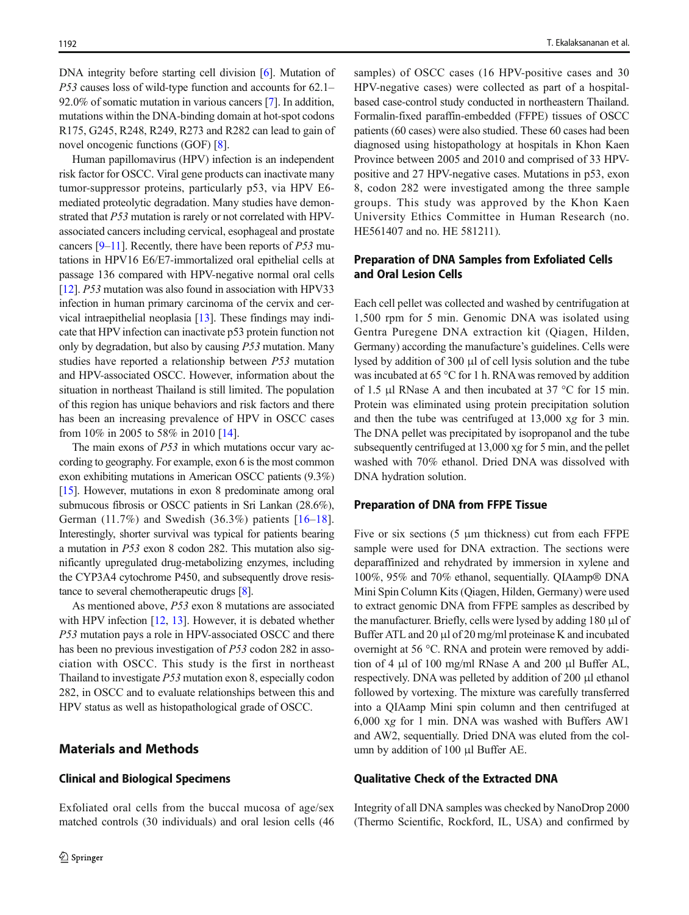DNA integrity before starting cell division [[6\]](#page-7-0). Mutation of P53 causes loss of wild-type function and accounts for 62.1– 92.0% of somatic mutation in various cancers [\[7\]](#page-7-0). In addition, mutations within the DNA-binding domain at hot-spot codons R175, G245, R248, R249, R273 and R282 can lead to gain of novel oncogenic functions (GOF) [\[8\]](#page-7-0).

Human papillomavirus (HPV) infection is an independent risk factor for OSCC. Viral gene products can inactivate many tumor-suppressor proteins, particularly p53, via HPV E6 mediated proteolytic degradation. Many studies have demonstrated that P53 mutation is rarely or not correlated with HPVassociated cancers including cervical, esophageal and prostate cancers  $[9-11]$  $[9-11]$  $[9-11]$  $[9-11]$ . Recently, there have been reports of P53 mutations in HPV16 E6/E7-immortalized oral epithelial cells at passage 136 compared with HPV-negative normal oral cells [\[12\]](#page-7-0). P53 mutation was also found in association with HPV33 infection in human primary carcinoma of the cervix and cervical intraepithelial neoplasia [[13](#page-7-0)]. These findings may indicate that HPV infection can inactivate p53 protein function not only by degradation, but also by causing P53 mutation. Many studies have reported a relationship between P53 mutation and HPV-associated OSCC. However, information about the situation in northeast Thailand is still limited. The population of this region has unique behaviors and risk factors and there has been an increasing prevalence of HPV in OSCC cases from 10% in 2005 to 58% in 2010 [[14\]](#page-7-0).

The main exons of *P53* in which mutations occur vary according to geography. For example, exon 6 is the most common exon exhibiting mutations in American OSCC patients (9.3%) [\[15\]](#page-7-0). However, mutations in exon 8 predominate among oral submucous fibrosis or OSCC patients in Sri Lankan (28.6%), German  $(11.7%)$  and Swedish  $(36.3%)$  patients  $[16–18]$  $[16–18]$  $[16–18]$  $[16–18]$  $[16–18]$ . Interestingly, shorter survival was typical for patients bearing a mutation in P53 exon 8 codon 282. This mutation also significantly upregulated drug-metabolizing enzymes, including the CYP3A4 cytochrome P450, and subsequently drove resistance to several chemotherapeutic drugs [\[8\]](#page-7-0).

As mentioned above, P53 exon 8 mutations are associated with HPV infection [\[12](#page-7-0), [13](#page-7-0)]. However, it is debated whether P53 mutation pays a role in HPV-associated OSCC and there has been no previous investigation of P53 codon 282 in association with OSCC. This study is the first in northeast Thailand to investigate P53 mutation exon 8, especially codon 282, in OSCC and to evaluate relationships between this and HPV status as well as histopathological grade of OSCC.

## Materials and Methods

## Clinical and Biological Specimens

Exfoliated oral cells from the buccal mucosa of age/sex matched controls (30 individuals) and oral lesion cells (46 samples) of OSCC cases (16 HPV-positive cases and 30 HPV-negative cases) were collected as part of a hospitalbased case-control study conducted in northeastern Thailand. Formalin-fixed paraffin-embedded (FFPE) tissues of OSCC patients (60 cases) were also studied. These 60 cases had been diagnosed using histopathology at hospitals in Khon Kaen Province between 2005 and 2010 and comprised of 33 HPVpositive and 27 HPV-negative cases. Mutations in p53, exon 8, codon 282 were investigated among the three sample groups. This study was approved by the Khon Kaen University Ethics Committee in Human Research (no. HE561407 and no. HE 581211).

# Preparation of DNA Samples from Exfoliated Cells and Oral Lesion Cells

Each cell pellet was collected and washed by centrifugation at 1,500 rpm for 5 min. Genomic DNA was isolated using Gentra Puregene DNA extraction kit (Qiagen, Hilden, Germany) according the manufacture's guidelines. Cells were lysed by addition of 300 μl of cell lysis solution and the tube was incubated at 65 °C for 1 h. RNAwas removed by addition of 1.5 μl RNase A and then incubated at 37 °C for 15 min. Protein was eliminated using protein precipitation solution and then the tube was centrifuged at 13,000 xg for 3 min. The DNA pellet was precipitated by isopropanol and the tube subsequently centrifuged at 13,000 xg for 5 min, and the pellet washed with 70% ethanol. Dried DNA was dissolved with DNA hydration solution.

#### Preparation of DNA from FFPE Tissue

Five or six sections  $(5 \mu m)$  thickness) cut from each FFPE sample were used for DNA extraction. The sections were deparaffinized and rehydrated by immersion in xylene and 100%, 95% and 70% ethanol, sequentially. QIAamp® DNA Mini Spin Column Kits (Qiagen, Hilden, Germany) were used to extract genomic DNA from FFPE samples as described by the manufacturer. Briefly, cells were lysed by adding 180 μl of Buffer ATL and 20 μl of 20 mg/ml proteinase K and incubated overnight at 56 °C. RNA and protein were removed by addition of 4 μl of 100 mg/ml RNase A and 200 μl Buffer AL, respectively. DNA was pelleted by addition of 200 μl ethanol followed by vortexing. The mixture was carefully transferred into a QIAamp Mini spin column and then centrifuged at 6,000 xg for 1 min. DNA was washed with Buffers AW1 and AW2, sequentially. Dried DNA was eluted from the column by addition of 100 μl Buffer AE.

#### Qualitative Check of the Extracted DNA

Integrity of all DNA samples was checked by NanoDrop 2000 (Thermo Scientific, Rockford, IL, USA) and confirmed by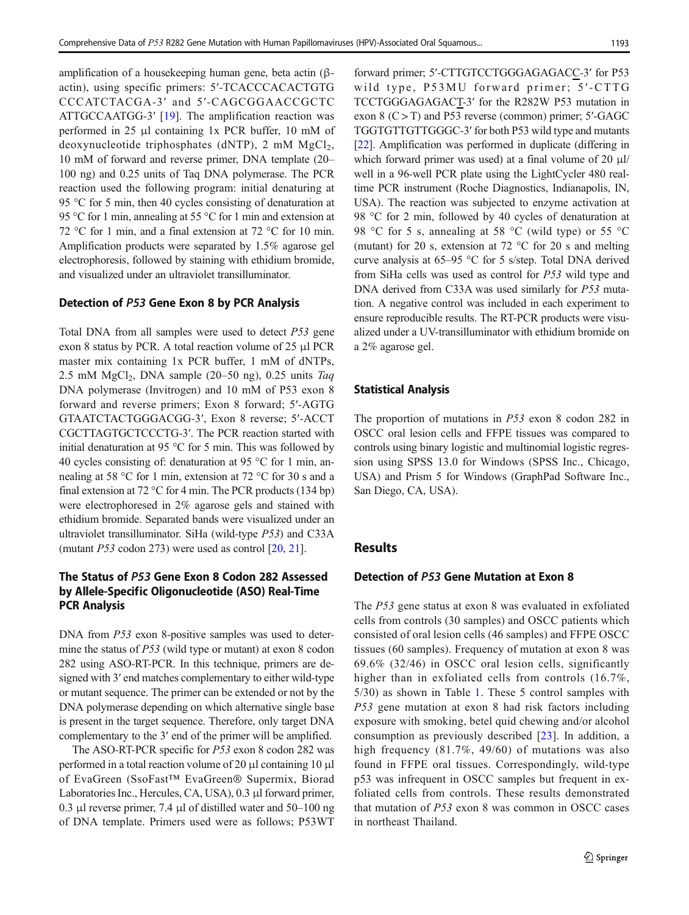amplification of a housekeeping human gene, beta actin (βactin), using specific primers: 5′-TCACCCACACTGTG CCCATCTACGA-3′ and 5′-CAGCGGAACCGCTC ATTGCCAATGG-3′ [[19\]](#page-7-0). The amplification reaction was performed in 25 μl containing 1x PCR buffer, 10 mM of deoxynucleotide triphosphates (dNTP), 2 mM  $MgCl<sub>2</sub>$ , 10 mM of forward and reverse primer, DNA template (20– 100 ng) and 0.25 units of Taq DNA polymerase. The PCR reaction used the following program: initial denaturing at 95 °C for 5 min, then 40 cycles consisting of denaturation at 95 °C for 1 min, annealing at 55 °C for 1 min and extension at 72 °C for 1 min, and a final extension at 72 °C for 10 min. Amplification products were separated by 1.5% agarose gel electrophoresis, followed by staining with ethidium bromide, and visualized under an ultraviolet transilluminator.

#### Detection of P53 Gene Exon 8 by PCR Analysis

Total DNA from all samples were used to detect P53 gene exon 8 status by PCR. A total reaction volume of 25 μl PCR master mix containing 1x PCR buffer, 1 mM of dNTPs, 2.5 mM  $MgCl<sub>2</sub>$ , DNA sample (20–50 ng), 0.25 units Taq DNA polymerase (Invitrogen) and 10 mM of P53 exon 8 forward and reverse primers; Exon 8 forward; 5′-AGTG GTAATCTACTGGGACGG-3′, Exon 8 reverse; 5′-ACCT CGCTTAGTGCTCCCTG-3′. The PCR reaction started with initial denaturation at 95 °C for 5 min. This was followed by 40 cycles consisting of: denaturation at 95 °C for 1 min, annealing at 58 °C for 1 min, extension at 72 °C for 30 s and a final extension at 72 °C for 4 min. The PCR products (134 bp) were electrophoresed in 2% agarose gels and stained with ethidium bromide. Separated bands were visualized under an ultraviolet transilluminator. SiHa (wild-type P53) and C33A (mutant  $P53$  codon 273) were used as control  $[20, 21]$  $[20, 21]$  $[20, 21]$  $[20, 21]$  $[20, 21]$ .

# The Status of P53 Gene Exon 8 Codon 282 Assessed by Allele-Specific Oligonucleotide (ASO) Real-Time PCR Analysis

DNA from P53 exon 8-positive samples was used to determine the status of P53 (wild type or mutant) at exon 8 codon 282 using ASO-RT-PCR. In this technique, primers are designed with 3′ end matches complementary to either wild-type or mutant sequence. The primer can be extended or not by the DNA polymerase depending on which alternative single base is present in the target sequence. Therefore, only target DNA complementary to the 3′ end of the primer will be amplified.

The ASO-RT-PCR specific for P53 exon 8 codon 282 was performed in a total reaction volume of 20 μl containing 10 μl of EvaGreen (SsoFast™ EvaGreen® Supermix, Biorad Laboratories Inc., Hercules, CA, USA), 0.3 μl forward primer, 0.3 μl reverse primer, 7.4 μl of distilled water and 50–100 ng of DNA template. Primers used were as follows; P53WT

forward primer; 5′-CTTGTCCTGGGAGAGACC-3′ for P53 wild type, P53MU forward primer; 5'-CTTG TCCTGGGAGAGACT-3′ for the R282W P53 mutation in exon  $8$  (C  $>$  T) and P53 reverse (common) primer; 5'-GAGC TGGTGTTGTTGGGC-3′ for both P53 wild type and mutants [\[22](#page-7-0)]. Amplification was performed in duplicate (differing in which forward primer was used) at a final volume of 20 μl/ well in a 96-well PCR plate using the LightCycler 480 realtime PCR instrument (Roche Diagnostics, Indianapolis, IN, USA). The reaction was subjected to enzyme activation at 98 °C for 2 min, followed by 40 cycles of denaturation at 98 °C for 5 s, annealing at 58 °C (wild type) or 55 °C (mutant) for 20 s, extension at 72 °C for 20 s and melting curve analysis at 65–95 °C for 5 s/step. Total DNA derived from SiHa cells was used as control for P53 wild type and DNA derived from C33A was used similarly for P53 mutation. A negative control was included in each experiment to ensure reproducible results. The RT-PCR products were visualized under a UV-transilluminator with ethidium bromide on a 2% agarose gel.

#### Statistical Analysis

The proportion of mutations in P53 exon 8 codon 282 in OSCC oral lesion cells and FFPE tissues was compared to controls using binary logistic and multinomial logistic regression using SPSS 13.0 for Windows (SPSS Inc., Chicago, USA) and Prism 5 for Windows (GraphPad Software Inc., San Diego, CA, USA).

## Results

## Detection of P53 Gene Mutation at Exon 8

The P53 gene status at exon 8 was evaluated in exfoliated cells from controls (30 samples) and OSCC patients which consisted of oral lesion cells (46 samples) and FFPE OSCC tissues (60 samples). Frequency of mutation at exon 8 was 69.6% (32/46) in OSCC oral lesion cells, significantly higher than in exfoliated cells from controls  $(16.7\%$ , 5/30) as shown in Table [1.](#page-3-0) These 5 control samples with P53 gene mutation at exon 8 had risk factors including exposure with smoking, betel quid chewing and/or alcohol consumption as previously described [[23\]](#page-7-0). In addition, a high frequency (81.7%, 49/60) of mutations was also found in FFPE oral tissues. Correspondingly, wild-type p53 was infrequent in OSCC samples but frequent in exfoliated cells from controls. These results demonstrated that mutation of P53 exon 8 was common in OSCC cases in northeast Thailand.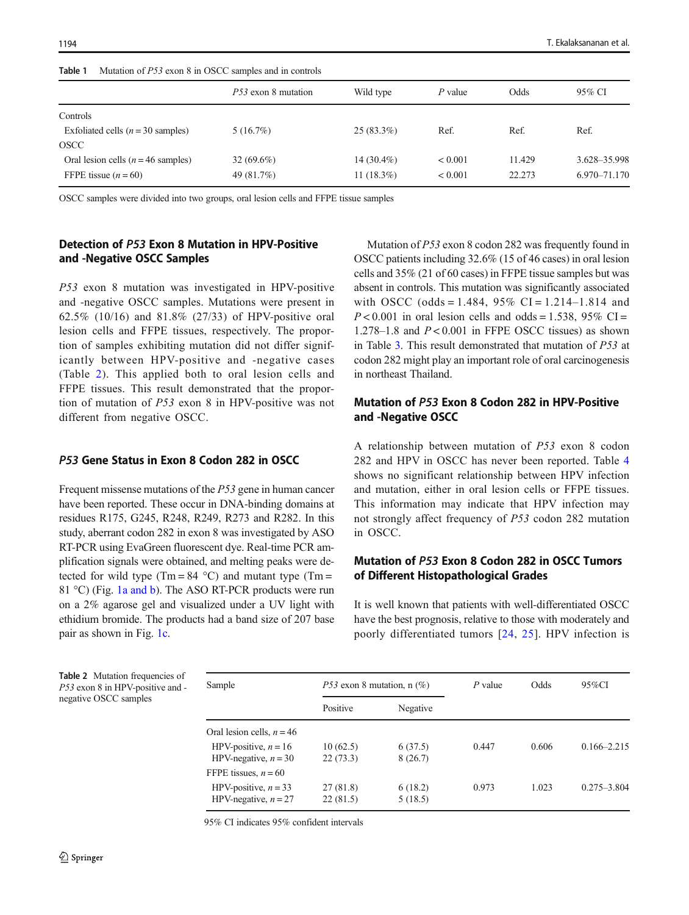#### <span id="page-3-0"></span>Table 1 Mutation of P53 exon 8 in OSCC samples and in controls

|                                             | P53 exon 8 mutation | Wild type     | $P$ value    | Odds   | 95% CI       |
|---------------------------------------------|---------------------|---------------|--------------|--------|--------------|
| Controls                                    |                     |               |              |        |              |
| Exfoliated cells $(n = 30 \text{ samples})$ | 5(16.7%)            | $25(83.3\%)$  | Ref.         | Ref.   | Ref.         |
| OSCC                                        |                     |               |              |        |              |
| Oral lesion cells ( $n = 46$ samples)       | $32(69.6\%)$        | $14(30.4\%)$  | ${}_{0.001}$ | 11.429 | 3.628-35.998 |
| FFPE tissue $(n = 60)$                      | 49 (81.7%)          | 11 $(18.3\%)$ | < 0.001      | 22.273 | 6.970-71.170 |

OSCC samples were divided into two groups, oral lesion cells and FFPE tissue samples

## Detection of P53 Exon 8 Mutation in HPV-Positive and -Negative OSCC Samples

P53 exon 8 mutation was investigated in HPV-positive and -negative OSCC samples. Mutations were present in 62.5% (10/16) and 81.8% (27/33) of HPV-positive oral lesion cells and FFPE tissues, respectively. The proportion of samples exhibiting mutation did not differ significantly between HPV-positive and -negative cases (Table 2). This applied both to oral lesion cells and FFPE tissues. This result demonstrated that the proportion of mutation of P53 exon 8 in HPV-positive was not different from negative OSCC.

#### P53 Gene Status in Exon 8 Codon 282 in OSCC

Frequent missense mutations of the P53 gene in human cancer have been reported. These occur in DNA-binding domains at residues R175, G245, R248, R249, R273 and R282. In this study, aberrant codon 282 in exon 8 was investigated by ASO RT-PCR using EvaGreen fluorescent dye. Real-time PCR amplification signals were obtained, and melting peaks were detected for wild type (Tm =  $84^{\circ}$ C) and mutant type (Tm = 81 °C) (Fig. [1a and b\)](#page-4-0). The ASO RT-PCR products were run on a 2% agarose gel and visualized under a UV light with ethidium bromide. The products had a band size of 207 base pair as shown in Fig. [1c.](#page-4-0)

Mutation of P53 exon 8 codon 282 was frequently found in OSCC patients including 32.6% (15 of 46 cases) in oral lesion cells and 35% (21 of 60 cases) in FFPE tissue samples but was absent in controls. This mutation was significantly associated with OSCC (odds = 1.484,  $95\%$  CI = 1.214–1.814 and  $P < 0.001$  in oral lesion cells and odds = 1.538, 95% CI = 1.278–1.8 and  $P < 0.001$  in FFPE OSCC tissues) as shown in Table [3](#page-5-0). This result demonstrated that mutation of P53 at codon 282 might play an important role of oral carcinogenesis in northeast Thailand.

# Mutation of P53 Exon 8 Codon 282 in HPV-Positive and -Negative OSCC

A relationship between mutation of P53 exon 8 codon 282 and HPV in OSCC has never been reported. Table [4](#page-5-0) shows no significant relationship between HPV infection and mutation, either in oral lesion cells or FFPE tissues. This information may indicate that HPV infection may not strongly affect frequency of P53 codon 282 mutation in OSCC.

# Mutation of P53 Exon 8 Codon 282 in OSCC Tumors of Different Histopathological Grades

It is well known that patients with well-differentiated OSCC have the best prognosis, relative to those with moderately and poorly differentiated tumors [[24,](#page-7-0) [25\]](#page-8-0). HPV infection is

Table 2 Mutation frequencies of P53 exon 8 in HPV-positive and negative OSCC samples

| Sample                                           |                      | <i>P53</i> exon 8 mutation, $n$ (%) |       | Odds  | $95\%$ CI       |
|--------------------------------------------------|----------------------|-------------------------------------|-------|-------|-----------------|
|                                                  | Positive             | Negative                            |       |       |                 |
| Oral lesion cells, $n = 46$                      |                      |                                     |       |       |                 |
| HPV-positive, $n = 16$<br>HPV-negative, $n = 30$ | 10(62.5)<br>22(73.3) | 6(37.5)<br>8(26.7)                  | 0.447 | 0.606 | $0.166 - 2.215$ |
| FFPE tissues, $n = 60$                           |                      |                                     |       |       |                 |
| HPV-positive, $n = 33$<br>HPV-negative, $n = 27$ | 27(81.8)<br>22(81.5) | 6(18.2)<br>5(18.5)                  | 0.973 | 1.023 | $0.275 - 3.804$ |

95% CI indicates 95% confident intervals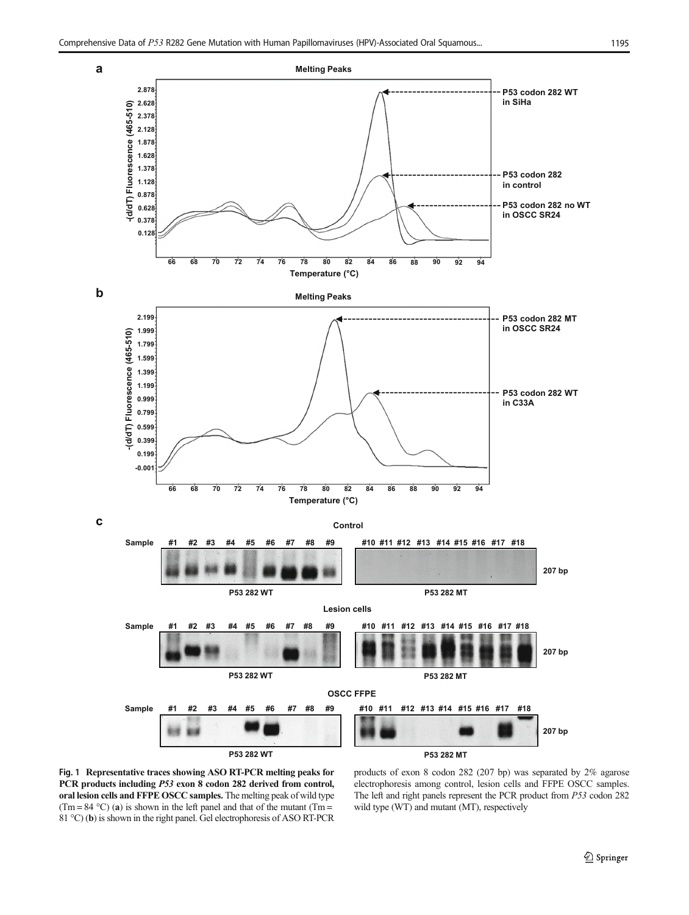<span id="page-4-0"></span>

Fig. 1 Representative traces showing ASO RT-PCR melting peaks for PCR products including P53 exon 8 codon 282 derived from control, oral lesion cells and FFPE OSCC samples. The melting peak of wild type (Tm = 84 °C) (a) is shown in the left panel and that of the mutant (Tm = 81 °C) (b) is shown in the right panel. Gel electrophoresis of ASO RT-PCR products of exon 8 codon 282 (207 bp) was separated by 2% agarose electrophoresis among control, lesion cells and FFPE OSCC samples. The left and right panels represent the PCR product from P53 codon 282 wild type (WT) and mutant (MT), respectively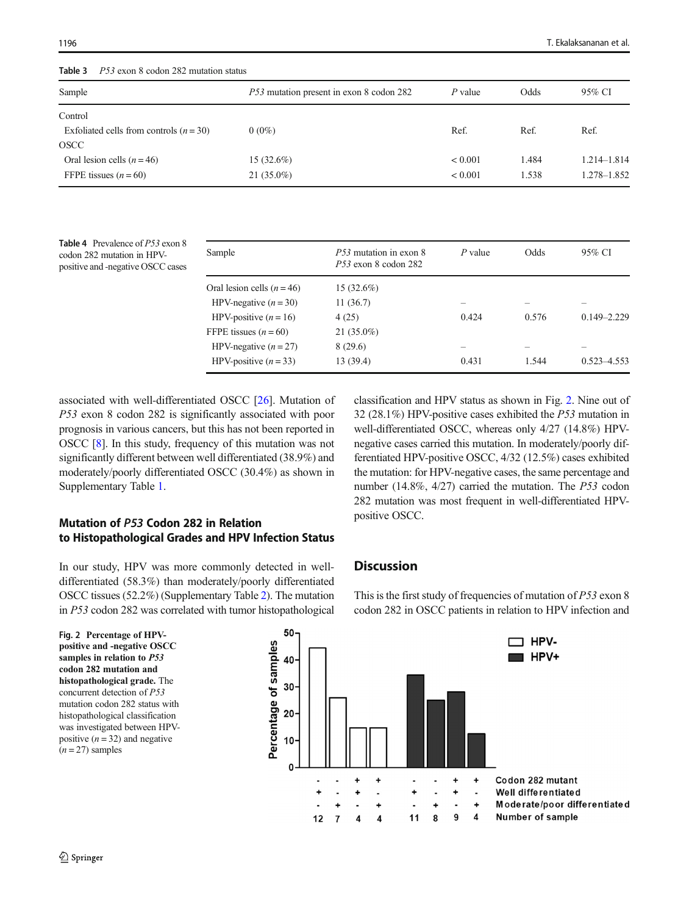<span id="page-5-0"></span>Table 3 P53 exon 8 codon 282 mutation status

| Sample                                    | <i>P53</i> mutation present in exon 8 codon 282 | $P$ value    | Odds  | 95% CI          |
|-------------------------------------------|-------------------------------------------------|--------------|-------|-----------------|
| Control                                   |                                                 |              |       |                 |
| Exfoliated cells from controls $(n = 30)$ | $0(0\%)$                                        | Ref.         | Ref.  | Ref.            |
| <b>OSCC</b>                               |                                                 |              |       |                 |
| Oral lesion cells $(n = 46)$              | $15(32.6\%)$                                    | ${}_{0.001}$ | 1.484 | $1.214 - 1.814$ |
| FFPE tissues $(n = 60)$                   | $21(35.0\%)$                                    | ${}_{0.001}$ | 1.538 | 1.278-1.852     |

Table 4 Prevalence of P53 exon 8 codon 282 mutation in HPVpositive and -negative OSCC cases

| Sample                       | P53 mutation in exon 8<br>$P_{53}$ exon 8 codon 282 | $P$ value | Odds  | 95% CI          |
|------------------------------|-----------------------------------------------------|-----------|-------|-----------------|
| Oral lesion cells $(n = 46)$ | $15(32.6\%)$                                        |           |       |                 |
| HPV-negative $(n = 30)$      | 11(36.7)                                            |           |       |                 |
| HPV-positive $(n = 16)$      | 4(25)                                               | 0.424     | 0.576 | $0.149 - 2.229$ |
| FFPE tissues $(n = 60)$      | $21(35.0\%)$                                        |           |       |                 |
| HPV-negative $(n = 27)$      | 8(29.6)                                             |           |       |                 |
| HPV-positive $(n = 33)$      | 13 (39.4)                                           | 0.431     | 1.544 | $0.523 - 4.553$ |

associated with well-differentiated OSCC [[26](#page-8-0)]. Mutation of P53 exon 8 codon 282 is significantly associated with poor prognosis in various cancers, but this has not been reported in OSCC [\[8\]](#page-7-0). In this study, frequency of this mutation was not significantly different between well differentiated (38.9%) and moderately/poorly differentiated OSCC (30.4%) as shown in Supplementary Table 1.

# Mutation of P53 Codon 282 in Relation to Histopathological Grades and HPV Infection Status

In our study, HPV was more commonly detected in welldifferentiated (58.3%) than moderately/poorly differentiated OSCC tissues (52.2%) (Supplementary Table 2). The mutation in P53 codon 282 was correlated with tumor histopathological classification and HPV status as shown in Fig. 2. Nine out of 32 (28.1%) HPV-positive cases exhibited the P53 mutation in well-differentiated OSCC, whereas only 4/27 (14.8%) HPVnegative cases carried this mutation. In moderately/poorly differentiated HPV-positive OSCC, 4/32 (12.5%) cases exhibited the mutation: for HPV-negative cases, the same percentage and number (14.8%, 4/27) carried the mutation. The P53 codon 282 mutation was most frequent in well-differentiated HPVpositive OSCC.

## **Discussion**

Fig. 2 Percentage of HPV-50

This is the first study of frequencies of mutation of P53 exon 8 codon 282 in OSCC patients in relation to HPV infection and

positive and -negative OSCC samples in relation to P53 codon 282 mutation and histopathological grade. The concurrent detection of P53 mutation codon 282 status with histopathological classification was investigated between HPVpositive  $(n = 32)$  and negative  $(n = 27)$  samples

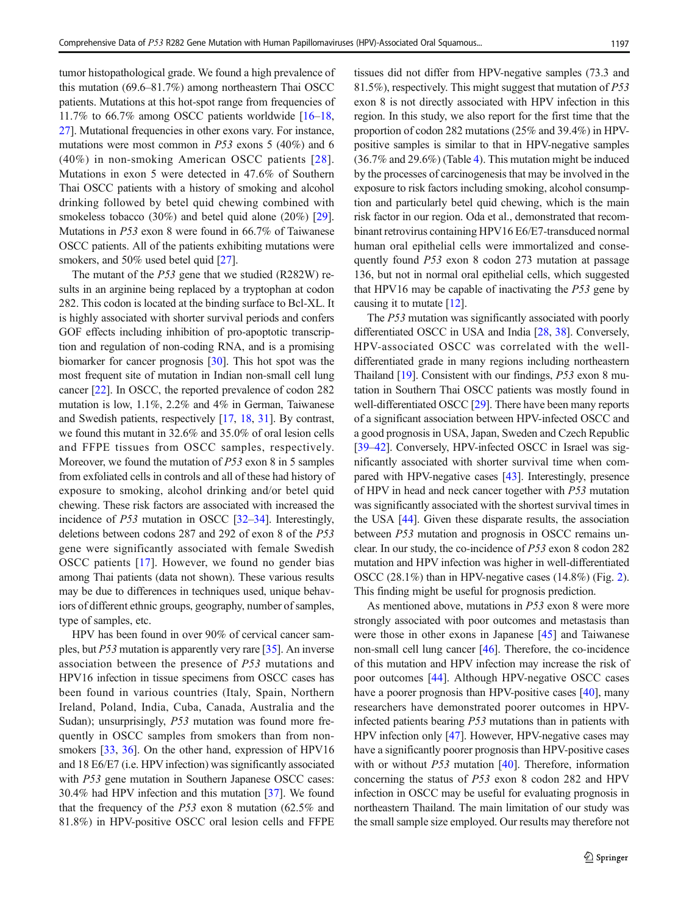tumor histopathological grade. We found a high prevalence of this mutation (69.6–81.7%) among northeastern Thai OSCC patients. Mutations at this hot-spot range from frequencies of 11.7% to 66.7% among OSCC patients worldwide [\[16](#page-7-0)–[18,](#page-7-0) [27\]](#page-8-0). Mutational frequencies in other exons vary. For instance, mutations were most common in  $P53$  exons 5 (40%) and 6 (40%) in non-smoking American OSCC patients [\[28](#page-8-0)]. Mutations in exon 5 were detected in 47.6% of Southern Thai OSCC patients with a history of smoking and alcohol drinking followed by betel quid chewing combined with smokeless tobacco (30%) and betel quid alone (20%) [[29](#page-8-0)]. Mutations in P53 exon 8 were found in 66.7% of Taiwanese OSCC patients. All of the patients exhibiting mutations were smokers, and 50% used betel quid [[27](#page-8-0)].

The mutant of the P53 gene that we studied (R282W) results in an arginine being replaced by a tryptophan at codon 282. This codon is located at the binding surface to Bcl-XL. It is highly associated with shorter survival periods and confers GOF effects including inhibition of pro-apoptotic transcription and regulation of non-coding RNA, and is a promising biomarker for cancer prognosis [[30](#page-8-0)]. This hot spot was the most frequent site of mutation in Indian non-small cell lung cancer [\[22\]](#page-7-0). In OSCC, the reported prevalence of codon 282 mutation is low, 1.1%, 2.2% and 4% in German, Taiwanese and Swedish patients, respectively [\[17](#page-7-0), [18,](#page-7-0) [31\]](#page-8-0). By contrast, we found this mutant in 32.6% and 35.0% of oral lesion cells and FFPE tissues from OSCC samples, respectively. Moreover, we found the mutation of P53 exon 8 in 5 samples from exfoliated cells in controls and all of these had history of exposure to smoking, alcohol drinking and/or betel quid chewing. These risk factors are associated with increased the incidence of P53 mutation in OSCC [[32](#page-8-0)–[34](#page-8-0)]. Interestingly, deletions between codons 287 and 292 of exon 8 of the P53 gene were significantly associated with female Swedish OSCC patients [\[17\]](#page-7-0). However, we found no gender bias among Thai patients (data not shown). These various results may be due to differences in techniques used, unique behaviors of different ethnic groups, geography, number of samples, type of samples, etc.

HPV has been found in over 90% of cervical cancer samples, but P53 mutation is apparently very rare [[35\]](#page-8-0). An inverse association between the presence of P53 mutations and HPV16 infection in tissue specimens from OSCC cases has been found in various countries (Italy, Spain, Northern Ireland, Poland, India, Cuba, Canada, Australia and the Sudan); unsurprisingly, *P53* mutation was found more frequently in OSCC samples from smokers than from non-smokers [[33,](#page-8-0) [36](#page-8-0)]. On the other hand, expression of HPV16 and 18 E6/E7 (i.e. HPV infection) was significantly associated with *P53* gene mutation in Southern Japanese OSCC cases: 30.4% had HPV infection and this mutation [[37\]](#page-8-0). We found that the frequency of the P53 exon 8 mutation (62.5% and 81.8%) in HPV-positive OSCC oral lesion cells and FFPE tissues did not differ from HPV-negative samples (73.3 and 81.5%), respectively. This might suggest that mutation of P53 exon 8 is not directly associated with HPV infection in this region. In this study, we also report for the first time that the proportion of codon 282 mutations (25% and 39.4%) in HPVpositive samples is similar to that in HPV-negative samples (36.7% and 29.6%) (Table [4](#page-5-0)). This mutation might be induced by the processes of carcinogenesis that may be involved in the exposure to risk factors including smoking, alcohol consumption and particularly betel quid chewing, which is the main risk factor in our region. Oda et al., demonstrated that recombinant retrovirus containing HPV16 E6/E7-transduced normal human oral epithelial cells were immortalized and consequently found P53 exon 8 codon 273 mutation at passage 136, but not in normal oral epithelial cells, which suggested that HPV16 may be capable of inactivating the P53 gene by causing it to mutate [[12](#page-7-0)].

The P53 mutation was significantly associated with poorly differentiated OSCC in USA and India [[28,](#page-8-0) [38\]](#page-8-0). Conversely, HPV-associated OSCC was correlated with the welldifferentiated grade in many regions including northeastern Thailand [\[19](#page-7-0)]. Consistent with our findings, P53 exon 8 mutation in Southern Thai OSCC patients was mostly found in well-differentiated OSCC [\[29](#page-8-0)]. There have been many reports of a significant association between HPV-infected OSCC and a good prognosis in USA, Japan, Sweden and Czech Republic [\[39](#page-8-0)–[42\]](#page-8-0). Conversely, HPV-infected OSCC in Israel was significantly associated with shorter survival time when compared with HPV-negative cases [\[43](#page-8-0)]. Interestingly, presence of HPV in head and neck cancer together with P53 mutation was significantly associated with the shortest survival times in the USA [[44](#page-8-0)]. Given these disparate results, the association between P53 mutation and prognosis in OSCC remains unclear. In our study, the co-incidence of P53 exon 8 codon 282 mutation and HPV infection was higher in well-differentiated OSCC (28.1%) than in HPV-negative cases (14.8%) (Fig. [2\)](#page-5-0). This finding might be useful for prognosis prediction.

As mentioned above, mutations in P53 exon 8 were more strongly associated with poor outcomes and metastasis than were those in other exons in Japanese [\[45](#page-8-0)] and Taiwanese non-small cell lung cancer [\[46](#page-8-0)]. Therefore, the co-incidence of this mutation and HPV infection may increase the risk of poor outcomes [\[44](#page-8-0)]. Although HPV-negative OSCC cases have a poorer prognosis than HPV-positive cases [\[40](#page-8-0)], many researchers have demonstrated poorer outcomes in HPVinfected patients bearing P53 mutations than in patients with HPV infection only [\[47](#page-8-0)]. However, HPV-negative cases may have a significantly poorer prognosis than HPV-positive cases with or without *P53* mutation [\[40](#page-8-0)]. Therefore, information concerning the status of P53 exon 8 codon 282 and HPV infection in OSCC may be useful for evaluating prognosis in northeastern Thailand. The main limitation of our study was the small sample size employed. Our results may therefore not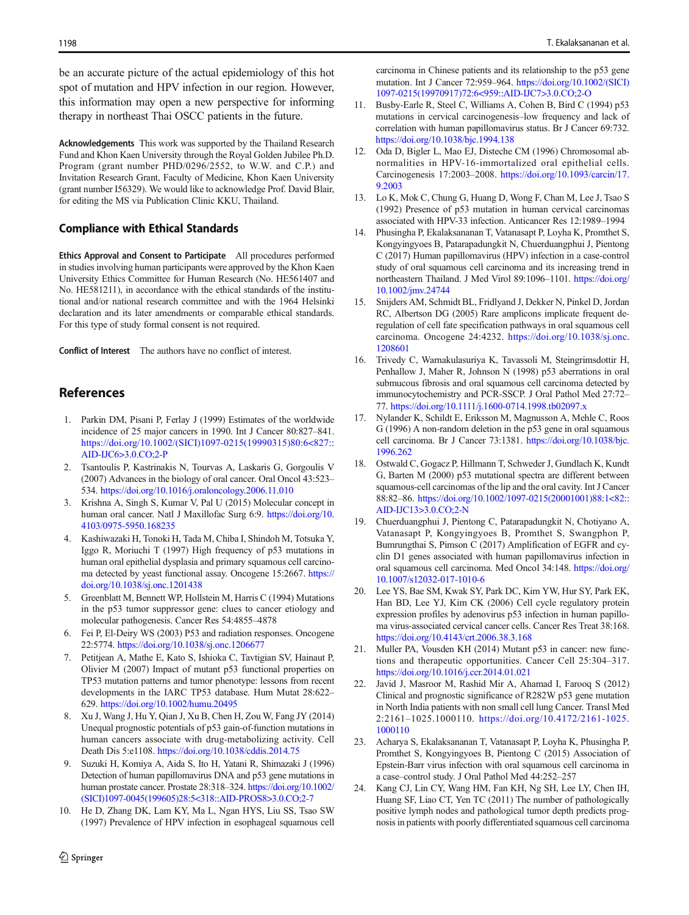<span id="page-7-0"></span>be an accurate picture of the actual epidemiology of this hot spot of mutation and HPV infection in our region. However, this information may open a new perspective for informing therapy in northeast Thai OSCC patients in the future.

Acknowledgements This work was supported by the Thailand Research Fund and Khon Kaen University through the Royal Golden Jubilee Ph.D. Program (grant number PHD/0296/2552, to W.W. and C.P.) and Invitation Research Grant, Faculty of Medicine, Khon Kaen University (grant number I56329). We would like to acknowledge Prof. David Blair, for editing the MS via Publication Clinic KKU, Thailand.

#### Compliance with Ethical Standards

Ethics Approval and Consent to Participate All procedures performed in studies involving human participants were approved by the Khon Kaen University Ethics Committee for Human Research (No. HE561407 and No. HE581211), in accordance with the ethical standards of the institutional and/or national research committee and with the 1964 Helsinki declaration and its later amendments or comparable ethical standards. For this type of study formal consent is not required.

Conflict of Interest The authors have no conflict of interest.

## References

- 1. Parkin DM, Pisani P, Ferlay J (1999) Estimates of the worldwide incidence of 25 major cancers in 1990. Int J Cancer 80:827–841. [https://doi.org/10.1002/\(SICI\)1097-0215\(19990315\)80:6<827::](https://doi.org/10.1002/(SICI)1097-0215(19990315)80:6<827::AID-IJC6>3.0.CO;2-P) [AID-IJC6>3.0.CO;2-P](https://doi.org/10.1002/(SICI)1097-0215(19990315)80:6<827::AID-IJC6>3.0.CO;2-P)
- 2. Tsantoulis P, Kastrinakis N, Tourvas A, Laskaris G, Gorgoulis V (2007) Advances in the biology of oral cancer. Oral Oncol 43:523– 534. <https://doi.org/10.1016/j.oraloncology.2006.11.010>
- 3. Krishna A, Singh S, Kumar V, Pal U (2015) Molecular concept in human oral cancer. Natl J Maxillofac Surg 6:9. [https://doi.org/10.](https://doi.org/10.4103/0975-5950.168235) [4103/0975-5950.168235](https://doi.org/10.4103/0975-5950.168235)
- 4. Kashiwazaki H, Tonoki H, Tada M, Chiba I, Shindoh M, Totsuka Y, Iggo R, Moriuchi T (1997) High frequency of p53 mutations in human oral epithelial dysplasia and primary squamous cell carcinoma detected by yeast functional assay. Oncogene 15:2667. [https://](https://doi.org/10.1038/sj.onc.1201438) [doi.org/10.1038/sj.onc.1201438](https://doi.org/10.1038/sj.onc.1201438)
- 5. Greenblatt M, Bennett WP, Hollstein M, Harris C (1994) Mutations in the p53 tumor suppressor gene: clues to cancer etiology and molecular pathogenesis. Cancer Res 54:4855–4878
- 6. Fei P, El-Deiry WS (2003) P53 and radiation responses. Oncogene 22:5774. <https://doi.org/10.1038/sj.onc.1206677>
- 7. Petitjean A, Mathe E, Kato S, Ishioka C, Tavtigian SV, Hainaut P, Olivier M (2007) Impact of mutant p53 functional properties on TP53 mutation patterns and tumor phenotype: lessons from recent developments in the IARC TP53 database. Hum Mutat 28:622– 629. <https://doi.org/10.1002/humu.20495>
- 8. Xu J, Wang J, Hu Y, Qian J, Xu B, Chen H, Zou W, Fang JY (2014) Unequal prognostic potentials of p53 gain-of-function mutations in human cancers associate with drug-metabolizing activity. Cell Death Dis 5:e1108. <https://doi.org/10.1038/cddis.2014.75>
- 9. Suzuki H, Komiya A, Aida S, Ito H, Yatani R, Shimazaki J (1996) Detection of human papillomavirus DNA and p53 gene mutations in human prostate cancer. Prostate 28:318–324. [https://doi.org/10.1002/](https://doi.org/10.1002/(SICI)1097-0045(199605)28:5<318::AID-PROS8>3.0.CO;2-7) [\(SICI\)1097-0045\(199605\)28:5<318::AID-PROS8>3.0.CO;2-7](https://doi.org/10.1002/(SICI)1097-0045(199605)28:5<318::AID-PROS8>3.0.CO;2-7)
- 10. He D, Zhang DK, Lam KY, Ma L, Ngan HYS, Liu SS, Tsao SW (1997) Prevalence of HPV infection in esophageal squamous cell

carcinoma in Chinese patients and its relationship to the p53 gene mutation. Int J Cancer 72:959–964. [https://doi.org/10.1002/\(SICI\)](https://doi.org/10.1002/(SICI)1097-0215(19970917)72:6<959::AID-IJC7>3.0.CO;2-O) [1097-0215\(19970917\)72:6<959::AID-IJC7>3.0.CO;2-O](https://doi.org/10.1002/(SICI)1097-0215(19970917)72:6<959::AID-IJC7>3.0.CO;2-O)

- 11. Busby-Earle R, Steel C, Williams A, Cohen B, Bird C (1994) p53 mutations in cervical carcinogenesis–low frequency and lack of correlation with human papillomavirus status. Br J Cancer 69:732. <https://doi.org/10.1038/bjc.1994.138>
- 12. Oda D, Bigler L, Mao EJ, Disteche CM (1996) Chromosomal abnormalities in HPV-16-immortalized oral epithelial cells. Carcinogenesis 17:2003–2008. [https://doi.org/10.1093/carcin/17.](https://doi.org/10.1093/carcin/17.9.2003) [9.2003](https://doi.org/10.1093/carcin/17.9.2003)
- 13. Lo K, Mok C, Chung G, Huang D, Wong F, Chan M, Lee J, Tsao S (1992) Presence of p53 mutation in human cervical carcinomas associated with HPV-33 infection. Anticancer Res 12:1989–1994
- 14. Phusingha P, Ekalaksananan T, Vatanasapt P, Loyha K, Promthet S, Kongyingyoes B, Patarapadungkit N, Chuerduangphui J, Pientong C (2017) Human papillomavirus (HPV) infection in a case-control study of oral squamous cell carcinoma and its increasing trend in northeastern Thailand. J Med Virol 89:1096–1101. [https://doi.org/](https://doi.org/10.1002/jmv.24744) [10.1002/jmv.24744](https://doi.org/10.1002/jmv.24744)
- 15. Snijders AM, Schmidt BL, Fridlyand J, Dekker N, Pinkel D, Jordan RC, Albertson DG (2005) Rare amplicons implicate frequent deregulation of cell fate specification pathways in oral squamous cell carcinoma. Oncogene 24:4232. [https://doi.org/10.1038/sj.onc.](https://doi.org/10.1038/sj.onc.1208601) [1208601](https://doi.org/10.1038/sj.onc.1208601)
- 16. Trivedy C, Warnakulasuriya K, Tavassoli M, Steingrimsdottir H, Penhallow J, Maher R, Johnson N (1998) p53 aberrations in oral submucous fibrosis and oral squamous cell carcinoma detected by immunocytochemistry and PCR-SSCP. J Oral Pathol Med 27:72– 77. <https://doi.org/10.1111/j.1600-0714.1998.tb02097.x>
- 17. Nylander K, Schildt E, Eriksson M, Magnusson A, Mehle C, Roos G (1996) A non-random deletion in the p53 gene in oral squamous cell carcinoma. Br J Cancer 73:1381. [https://doi.org/10.1038/bjc.](https://doi.org/10.1038/bjc.1996.262) [1996.262](https://doi.org/10.1038/bjc.1996.262)
- 18. Ostwald C, Gogacz P, Hillmann T, Schweder J, Gundlach K, Kundt G, Barten M (2000) p53 mutational spectra are different between squamous-cell carcinomas of the lip and the oral cavity. Int J Cancer 88:82–86. [https://doi.org/10.1002/1097-0215\(20001001\)88:1<82::](https://doi.org/10.1002/1097-0215(20001001)88:1<82::AID-IJC13>3.0.CO;2-N) [AID-IJC13>3.0.CO;2-N](https://doi.org/10.1002/1097-0215(20001001)88:1<82::AID-IJC13>3.0.CO;2-N)
- 19. Chuerduangphui J, Pientong C, Patarapadungkit N, Chotiyano A, Vatanasapt P, Kongyingyoes B, Promthet S, Swangphon P, Bumrungthai S, Pimson C (2017) Amplification of EGFR and cyclin D1 genes associated with human papillomavirus infection in oral squamous cell carcinoma. Med Oncol 34:148. [https://doi.org/](https://doi.org/10.1007/s12032-017-1010-6) [10.1007/s12032-017-1010-6](https://doi.org/10.1007/s12032-017-1010-6)
- Lee YS, Bae SM, Kwak SY, Park DC, Kim YW, Hur SY, Park EK, Han BD, Lee YJ, Kim CK (2006) Cell cycle regulatory protein expression profiles by adenovirus p53 infection in human papilloma virus-associated cervical cancer cells. Cancer Res Treat 38:168. <https://doi.org/10.4143/crt.2006.38.3.168>
- 21. Muller PA, Vousden KH (2014) Mutant p53 in cancer: new functions and therapeutic opportunities. Cancer Cell 25:304–317. <https://doi.org/10.1016/j.ccr.2014.01.021>
- 22. Javid J, Masroor M, Rashid Mir A, Ahamad I, Farooq S (2012) Clinical and prognostic significance of R282W p53 gene mutation in North India patients with non small cell lung Cancer. Transl Med 2:2161–1025.1000110. [https://doi.org/10.4172/2161-1025.](https://doi.org/10.4172/2161-1025.1000110) [1000110](https://doi.org/10.4172/2161-1025.1000110)
- 23. Acharya S, Ekalaksananan T, Vatanasapt P, Loyha K, Phusingha P, Promthet S, Kongyingyoes B, Pientong C (2015) Association of Epstein-Barr virus infection with oral squamous cell carcinoma in a case–control study. J Oral Pathol Med 44:252–257
- 24. Kang CJ, Lin CY, Wang HM, Fan KH, Ng SH, Lee LY, Chen IH, Huang SF, Liao CT, Yen TC (2011) The number of pathologically positive lymph nodes and pathological tumor depth predicts prognosis in patients with poorly differentiated squamous cell carcinoma